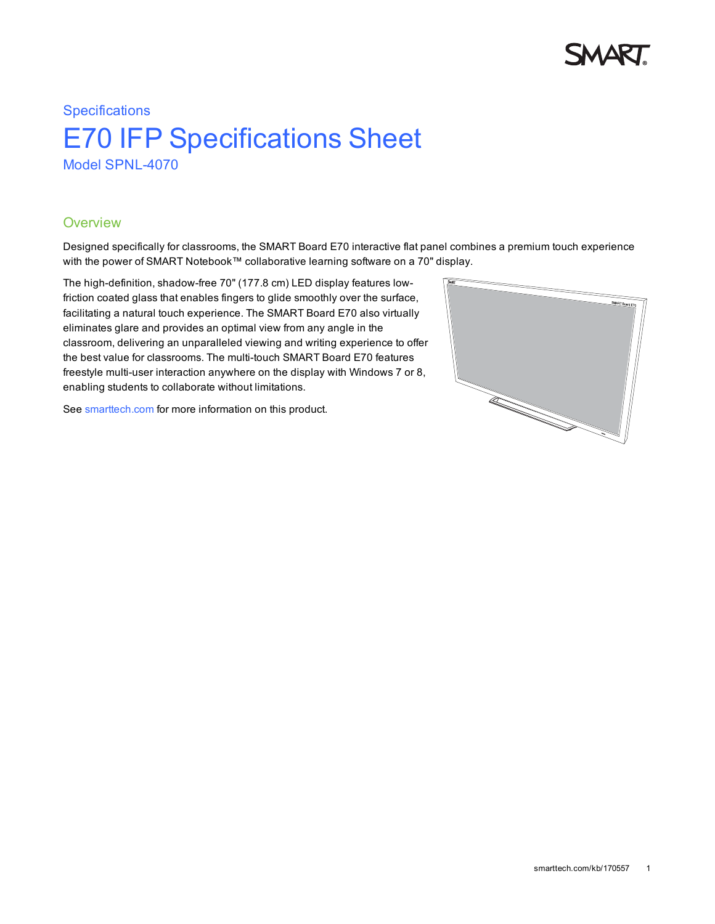

# **Specifications** E70 IFP Specifications Sheet Model SPNL-4070

### **Overview**

Designed specifically for classrooms, the SMART Board E70 interactive flat panel combines a premium touch experience with the power of SMART Notebook™ collaborative learning software on a 70" display.

The high-definition, shadow-free 70" (177.8 cm) LED display features lowfriction coated glass that enables fingers to glide smoothly over the surface, facilitating a natural touch experience. The SMART Board E70 also virtually eliminates glare and provides an optimal view from any angle in the classroom, delivering an unparalleled viewing and writing experience to offer the best value for classrooms. The multi-touch SMART Board E70 features freestyle multi-user interaction anywhere on the display with Windows 7 or 8, enabling students to collaborate without limitations.

See [smarttech.com](http://www.smarttech.com/) for more information on this product.

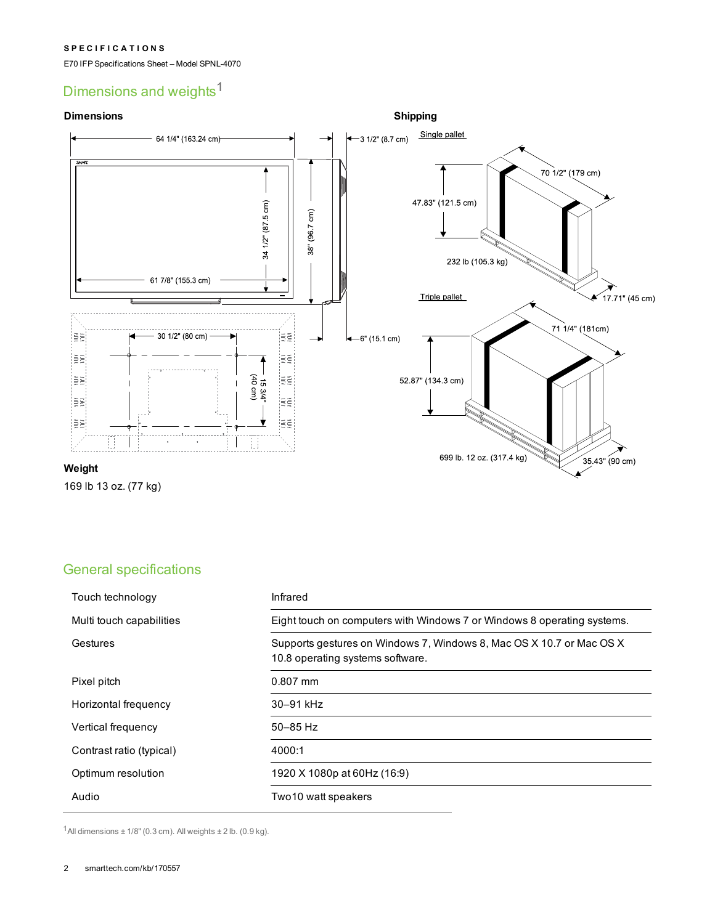#### **S P E C I F I C A T I O N S**

E70 IFP Specifications Sheet – Model SPNL-4070

# Dimensions and weights<sup>1</sup>

#### **Dimensions**



169 lb 13 oz. (77 kg)

# General specifications

| Touch technology         | Infrared                                                                                                 |
|--------------------------|----------------------------------------------------------------------------------------------------------|
| Multi touch capabilities | Eight touch on computers with Windows 7 or Windows 8 operating systems.                                  |
| Gestures                 | Supports gestures on Windows 7, Windows 8, Mac OS X 10.7 or Mac OS X<br>10.8 operating systems software. |
| Pixel pitch              | $0.807$ mm                                                                                               |
| Horizontal frequency     | 30-91 kHz                                                                                                |
| Vertical frequency       | $50 - 85$ Hz                                                                                             |
| Contrast ratio (typical) | 4000:1                                                                                                   |
| Optimum resolution       | 1920 X 1080p at 60Hz (16:9)                                                                              |
| Audio                    | Two 10 watt speakers                                                                                     |

 $1$ All dimensions  $\pm$  1/8" (0.3 cm). All weights  $\pm$  2 lb. (0.9 kg).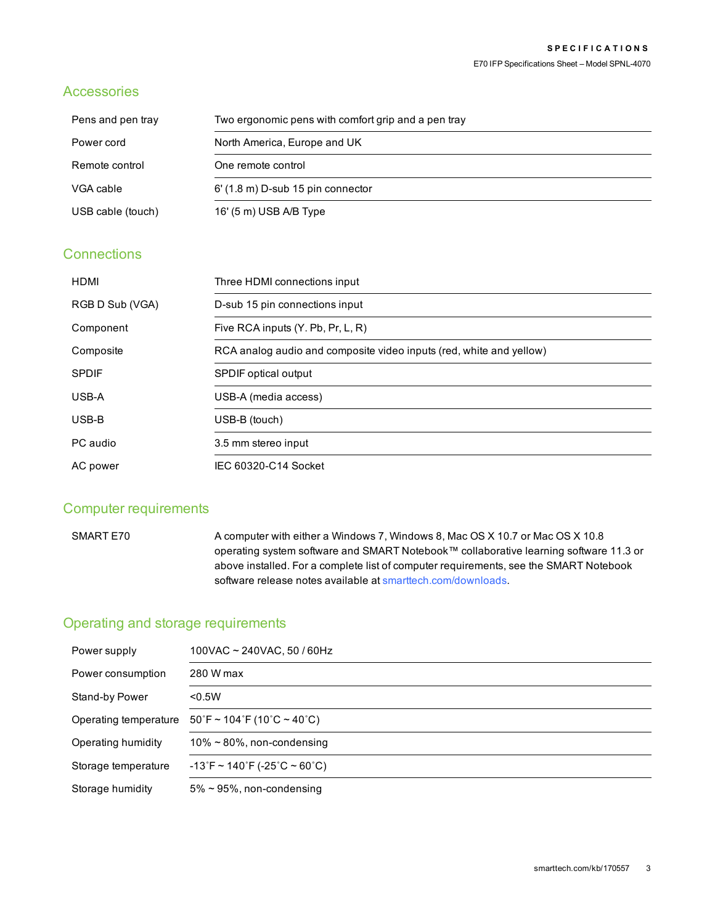## Accessories

| Pens and pen tray | Two ergonomic pens with comfort grip and a pen tray |
|-------------------|-----------------------------------------------------|
| Power cord        | North America, Europe and UK                        |
| Remote control    | One remote control                                  |
| VGA cable         | $6'$ (1.8 m) D-sub 15 pin connector                 |
| USB cable (touch) | 16' (5 m) USB A/B Type                              |

# **Connections**

| <b>HDMI</b>     | Three HDMI connections input                                        |
|-----------------|---------------------------------------------------------------------|
| RGB D Sub (VGA) | D-sub 15 pin connections input                                      |
| Component       | Five RCA inputs (Y. Pb, Pr, L, R)                                   |
| Composite       | RCA analog audio and composite video inputs (red, white and yellow) |
| <b>SPDIF</b>    | <b>SPDIF</b> optical output                                         |
| USB-A           | USB-A (media access)                                                |
| USB-B           | USB-B (touch)                                                       |
| PC audio        | 3.5 mm stereo input                                                 |
| AC power        | IEC 60320-C14 Socket                                                |

## Computer requirements

SMART E70 A computer with either a Windows 7, Windows 8, Mac OS X 10.7 or Mac OS X 10.8 operating system software and SMART Notebook™ collaborative learning software 11.3 or above installed. For a complete list of computer requirements, see the SMART Notebook software release notes available at [smarttech.com/downloads](http://smarttech.com/downloads).

# Operating and storage requirements

| Power supply          | 100VAC ~ 240VAC, 50 / 60Hz                                                          |
|-----------------------|-------------------------------------------------------------------------------------|
| Power consumption     | 280 W max                                                                           |
| Stand-by Power        | < 0.5W                                                                              |
| Operating temperature | $50\degree$ F ~ 104 $\degree$ F (10 $\degree$ C ~ 40 $\degree$ C)                   |
| Operating humidity    | $10\% \sim 80\%$ , non-condensing                                                   |
| Storage temperature   | $-13\textdegree$ F ~ 140 $\textdegree$ F (-25 $\textdegree$ C ~ 60 $\textdegree$ C) |
| Storage humidity      | $5\% \sim 95\%$ , non-condensing                                                    |